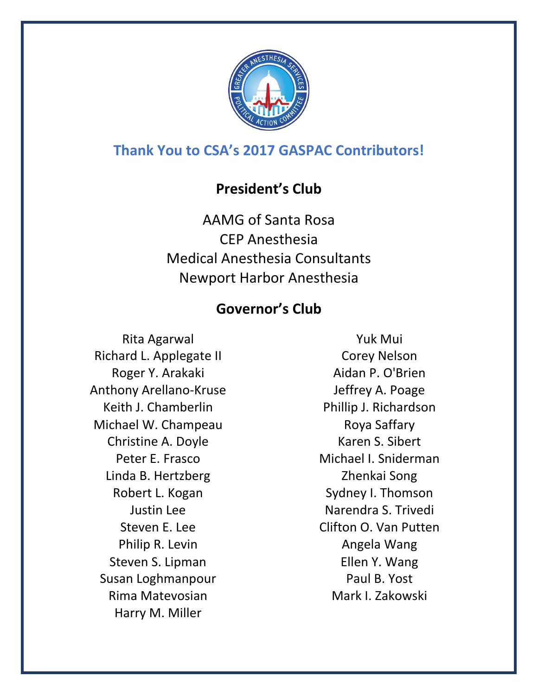

# **Thank You to CSA's 2017 GASPAC Contributors!**

### **President's Club**

AAMG of Santa Rosa CEP Anesthesia Medical Anesthesia Consultants Newport Harbor Anesthesia

# **Governor's Club**

Rita Agarwal Richard L. Applegate II Roger Y. Arakaki Anthony Arellano-Kruse Keith J. Chamberlin Michael W. Champeau Christine A. Doyle Peter E. Frasco Linda B. Hertzberg Robert L. Kogan Justin Lee Steven E. Lee Philip R. Levin Steven S. Lipman Susan Loghmanpour Rima Matevosian Harry M. Miller

Yuk Mui Corey Nelson Aidan P. O'Brien Jeffrey A. Poage Phillip J. Richardson Roya Saffary Karen S. Sibert Michael I. Sniderman Zhenkai Song Sydney I. Thomson Narendra S. Trivedi Clifton O. Van Putten Angela Wang Ellen Y. Wang Paul B. Yost Mark I. Zakowski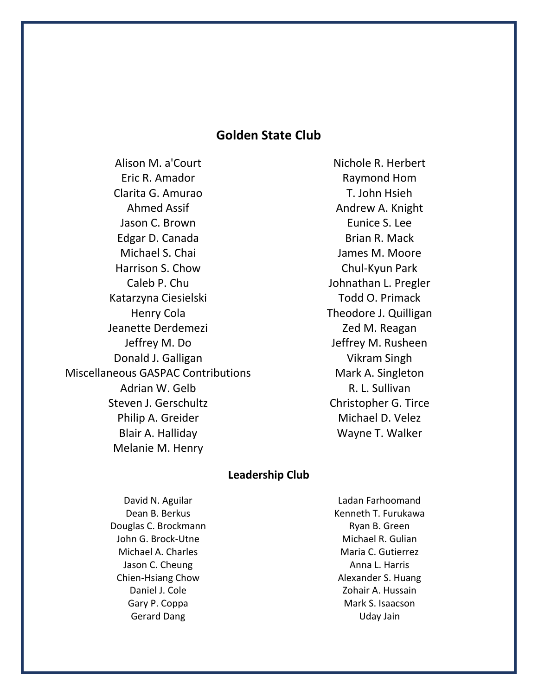### **Golden State Club**

Alison M. a'Court Eric R. Amador Clarita G. Amurao Ahmed Assif Jason C. Brown Edgar D. Canada Michael S. Chai Harrison S. Chow Caleb P. Chu Katarzyna Ciesielski Henry Cola Jeanette Derdemezi Jeffrey M. Do Donald J. Galligan Miscellaneous GASPAC Contributions Adrian W. Gelb Steven J. Gerschultz Philip A. Greider Blair A. Halliday Melanie M. Henry

Nichole R. Herbert Raymond Hom T. John Hsieh Andrew A. Knight Eunice S. Lee Brian R. Mack James M. Moore Chul-Kyun Park Johnathan L. Pregler Todd O. Primack Theodore J. Quilligan Zed M. Reagan Jeffrey M. Rusheen Vikram Singh Mark A. Singleton R. L. Sullivan Christopher G. Tirce Michael D. Velez Wayne T. Walker

#### **Leadership Club**

David N. Aguilar Dean B. Berkus Douglas C. Brockmann John G. Brock-Utne Michael A. Charles Jason C. Cheung Chien-Hsiang Chow Daniel J. Cole Gary P. Coppa Gerard Dang

Ladan Farhoomand Kenneth T. Furukawa Ryan B. Green Michael R. Gulian Maria C. Gutierrez Anna L. Harris Alexander S. Huang Zohair A. Hussain Mark S. Isaacson Uday Jain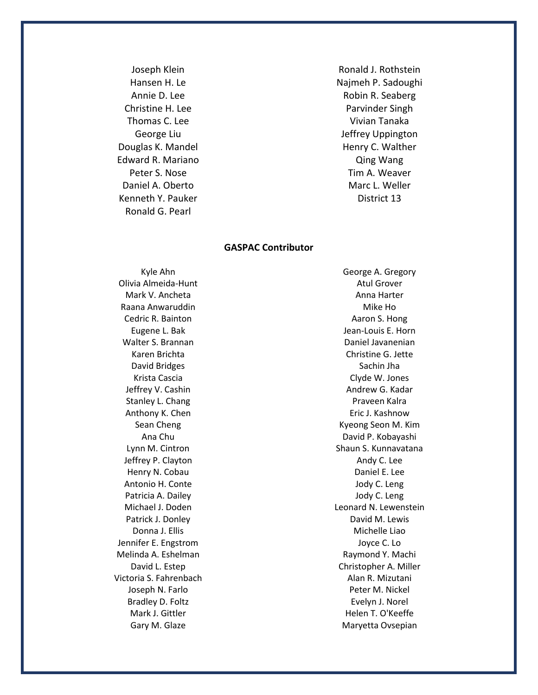Joseph Klein Hansen H. Le Annie D. Lee Christine H. Lee Thomas C. Lee George Liu Douglas K. Mandel Edward R. Mariano Peter S. Nose Daniel A. Oberto Kenneth Y. Pauker Ronald G. Pearl

Ronald J. Rothstein Najmeh P. Sadoughi Robin R. Seaberg Parvinder Singh Vivian Tanaka Jeffrey Uppington Henry C. Walther Qing Wang Tim A. Weaver Marc L. Weller District 13

#### **GASPAC Contributor**

Kyle Ahn Olivia Almeida-Hunt Mark V. Ancheta Raana Anwaruddin Cedric R. Bainton Eugene L. Bak Walter S. Brannan Karen Brichta David Bridges Krista Cascia Jeffrey V. Cashin Stanley L. Chang Anthony K. Chen Sean Cheng Ana Chu Lynn M. Cintron Jeffrey P. Clayton Henry N. Cobau Antonio H. Conte Patricia A. Dailey Michael J. Doden Patrick J. Donley Donna J. Ellis Jennifer E. Engstrom Melinda A. Eshelman David L. Estep Victoria S. Fahrenbach Joseph N. Farlo Bradley D. Foltz Mark J. Gittler Gary M. Glaze

George A. Gregory Atul Grover Anna Harter Mike Ho Aaron S. Hong Jean-Louis E. Horn Daniel Javanenian Christine G. Jette Sachin Jha Clyde W. Jones Andrew G. Kadar Praveen Kalra Eric J. Kashnow Kyeong Seon M. Kim David P. Kobayashi Shaun S. Kunnavatana Andy C. Lee Daniel E. Lee Jody C. Leng Jody C. Leng Leonard N. Lewenstein David M. Lewis Michelle Liao Joyce C. Lo Raymond Y. Machi Christopher A. Miller Alan R. Mizutani Peter M. Nickel Evelyn J. Norel Helen T. O'Keeffe Maryetta Ovsepian